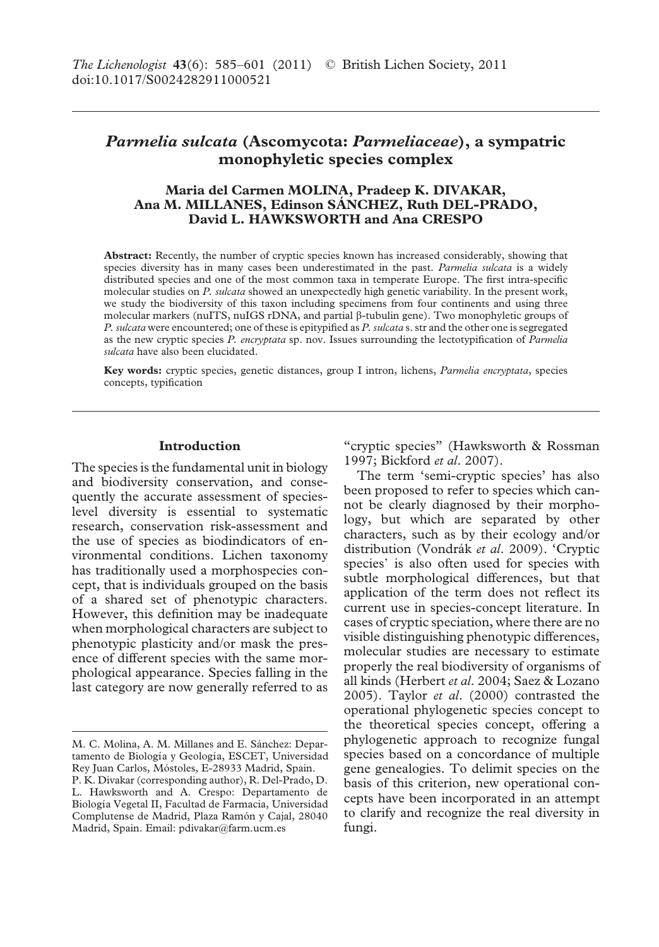# *Parmelia sulcata* **(Ascomycota:** *Parmeliaceae***), a sympatric monophyletic species complex**

# **Maria del Carmen MOLINA, Pradeep K. DIVAKAR, Ana M. MILLANES, Edinson SÁNCHEZ, Ruth DEL-PRADO, David L. HAWKSWORTH and Ana CRESPO**

**Abstract:** Recently, the number of cryptic species known has increased considerably, showing that species diversity has in many cases been underestimated in the past. *Parmelia sulcata* is a widely distributed species and one of the most common taxa in temperate Europe. The first intra-specific molecular studies on *P. sulcata* showed an unexpectedly high genetic variability. In the present work, we study the biodiversity of this taxon including specimens from four continents and using three molecular markers (nuITS, nuIGS rDNA, and partial  $\beta$ -tubulin gene). Two monophyletic groups of *P. sulcata* were encountered; one of these is epitypified as *P. sulcata* s. str and the other one is segregated as the new cryptic species *P. encryptata* sp. nov. Issues surrounding the lectotypification of *Parmelia sulcata* have also been elucidated.

**Key words:** cryptic species, genetic distances, group I intron, lichens, *Parmelia encryptata*, species concepts, typification

# **Introduction**

The species is the fundamental unit in biology and biodiversity conservation, and consequently the accurate assessment of specieslevel diversity is essential to systematic research, conservation risk-assessment and the use of species as biodindicators of environmental conditions. Lichen taxonomy has traditionally used a morphospecies concept, that is individuals grouped on the basis of a shared set of phenotypic characters. However, this definition may be inadequate when morphological characters are subject to phenotypic plasticity and/or mask the presence of different species with the same morphological appearance. Species falling in the last category are now generally referred to as

"cryptic species" (Hawksworth & Rossman 1997; Bickford *et al*. 2007).

The term 'semi-cryptic species' has also been proposed to refer to species which cannot be clearly diagnosed by their morphology, but which are separated by other characters, such as by their ecology and/or distribution (Vondrák *et al*. 2009). 'Cryptic species' is also often used for species with subtle morphological differences, but that application of the term does not reflect its current use in species-concept literature. In cases of cryptic speciation, where there are no visible distinguishing phenotypic differences, molecular studies are necessary to estimate properly the real biodiversity of organisms of all kinds (Herbert *et al*. 2004; Saez & Lozano 2005). Taylor *et al*. (2000) contrasted the operational phylogenetic species concept to the theoretical species concept, offering a phylogenetic approach to recognize fungal species based on a concordance of multiple gene genealogies. To delimit species on the basis of this criterion, new operational concepts have been incorporated in an attempt to clarify and recognize the real diversity in fungi.

M. C. Molina, A. M. Millanes and E. Sánchez: Departamento de Biología y Geología, ESCET, Universidad Rey Juan Carlos, Móstoles, E-28933 Madrid, Spain.

P. K. Divakar (corresponding author), R. Del-Prado, D. L. Hawksworth and A. Crespo: Departamento de Biología Vegetal II, Facultad de Farmacia, Universidad Complutense de Madrid, Plaza Ramón y Cajal, 28040 Madrid, Spain. Email: pdivakar@farm.ucm.es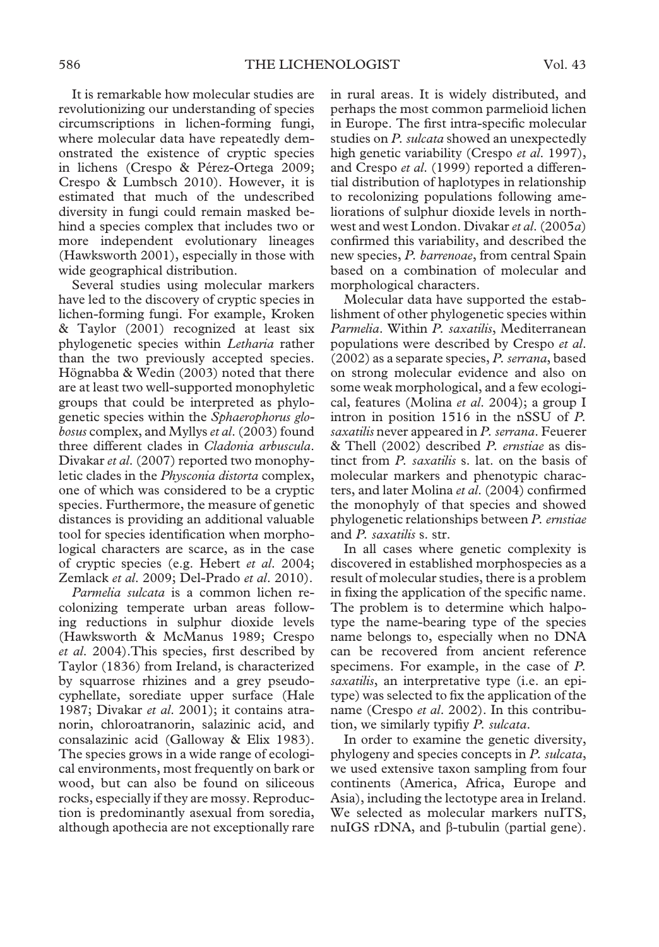It is remarkable how molecular studies are revolutionizing our understanding of species circumscriptions in lichen-forming fungi, where molecular data have repeatedly demonstrated the existence of cryptic species in lichens (Crespo & Pérez-Ortega 2009; Crespo & Lumbsch 2010). However, it is estimated that much of the undescribed diversity in fungi could remain masked behind a species complex that includes two or more independent evolutionary lineages (Hawksworth 2001), especially in those with wide geographical distribution.

Several studies using molecular markers have led to the discovery of cryptic species in lichen-forming fungi. For example, Kroken & Taylor (2001) recognized at least six phylogenetic species within *Letharia* rather than the two previously accepted species. Högnabba & Wedin (2003) noted that there are at least two well-supported monophyletic groups that could be interpreted as phylogenetic species within the *Sphaerophorus globosus* complex, and Myllys*et al*. (2003) found three different clades in *Cladonia arbuscula*. Divakar *et al*. (2007) reported two monophyletic clades in the *Physconia distorta* complex, one of which was considered to be a cryptic species. Furthermore, the measure of genetic distances is providing an additional valuable tool for species identification when morphological characters are scarce, as in the case of cryptic species (e.g. Hebert *et al*. 2004; Zemlack *et al*. 2009; Del-Prado *et al*. 2010).

*Parmelia sulcata* is a common lichen recolonizing temperate urban areas following reductions in sulphur dioxide levels (Hawksworth & McManus 1989; Crespo *et al*. 2004).This species, first described by Taylor (1836) from Ireland, is characterized by squarrose rhizines and a grey pseudocyphellate, sorediate upper surface (Hale 1987; Divakar *et al*. 2001); it contains atranorin, chloroatranorin, salazinic acid, and consalazinic acid (Galloway & Elix 1983). The species grows in a wide range of ecological environments, most frequently on bark or wood, but can also be found on siliceous rocks, especially if they are mossy. Reproduction is predominantly asexual from soredia, although apothecia are not exceptionally rare

in rural areas. It is widely distributed, and perhaps the most common parmelioid lichen in Europe. The first intra-specific molecular studies on *P. sulcata* showed an unexpectedly high genetic variability (Crespo *et al*. 1997), and Crespo *et al*. (1999) reported a differential distribution of haplotypes in relationship to recolonizing populations following ameliorations of sulphur dioxide levels in northwest and west London. Divakar*et al*. (2005*a*) confirmed this variability, and described the new species, *P. barrenoae*, from central Spain based on a combination of molecular and morphological characters.

Molecular data have supported the establishment of other phylogenetic species within *Parmelia*. Within *P. saxatilis*, Mediterranean populations were described by Crespo *et al*. (2002) as a separate species, *P. serrana*, based on strong molecular evidence and also on some weak morphological, and a few ecological, features (Molina *et al*. 2004); a group I intron in position 1516 in the nSSU of *P. saxatilis* never appeared in *P. serrana*. Feuerer & Thell (2002) described *P. ernstiae* as distinct from *P. saxatilis* s. lat. on the basis of molecular markers and phenotypic characters, and later Molina *et al*. (2004) confirmed the monophyly of that species and showed phylogenetic relationships between *P. ernstiae* and *P. saxatilis* s. str.

In all cases where genetic complexity is discovered in established morphospecies as a result of molecular studies, there is a problem in fixing the application of the specific name. The problem is to determine which halpotype the name-bearing type of the species name belongs to, especially when no DNA can be recovered from ancient reference specimens. For example, in the case of *P. saxatilis*, an interpretative type (i.e. an epitype) was selected to fix the application of the name (Crespo *et al*. 2002). In this contribution, we similarly typifiy *P. sulcata*.

In order to examine the genetic diversity, phylogeny and species concepts in *P. sulcata*, we used extensive taxon sampling from four continents (America, Africa, Europe and Asia), including the lectotype area in Ireland. We selected as molecular markers nuITS, nuIGS rDNA, and  $\beta$ -tubulin (partial gene).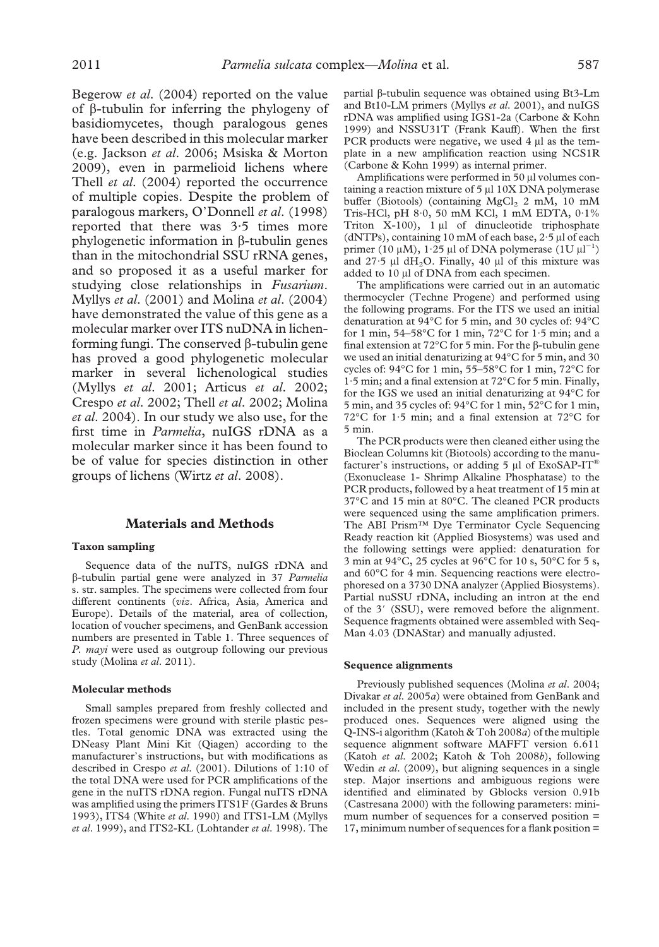Begerow *et al*. (2004) reported on the value of  $\beta$ -tubulin for inferring the phylogeny of basidiomycetes, though paralogous genes have been described in this molecular marker (e.g. Jackson *et al*. 2006; Msiska & Morton 2009), even in parmelioid lichens where Thell *et al*. (2004) reported the occurrence of multiple copies. Despite the problem of paralogous markers, O'Donnell *et al*. (1998) reported that there was 3·5 times more phylogenetic information in  $\beta$ -tubulin genes than in the mitochondrial SSU rRNA genes, and so proposed it as a useful marker for studying close relationships in *Fusarium*. Myllys *et al*. (2001) and Molina *et al*. (2004) have demonstrated the value of this gene as a molecular marker over ITS nuDNA in lichenforming fungi. The conserved  $\beta$ -tubulin gene has proved a good phylogenetic molecular marker in several lichenological studies (Myllys *et al*. 2001; Articus *et al*. 2002; Crespo *et al*. 2002; Thell *et al*. 2002; Molina *et al*. 2004). In our study we also use, for the first time in *Parmelia*, nuIGS rDNA as a molecular marker since it has been found to be of value for species distinction in other groups of lichens (Wirtz *et al*. 2008).

### **Materials and Methods**

### **Taxon sampling**

Sequence data of the nuITS, nuIGS rDNA and -tubulin partial gene were analyzed in 37 *Parmelia* s. str. samples. The specimens were collected from four different continents (*viz*. Africa, Asia, America and Europe). Details of the material, area of collection, location of voucher specimens, and GenBank accession numbers are presented in Table 1. Three sequences of *P. mayi* were used as outgroup following our previous study (Molina *et al*. 2011).

#### **Molecular methods**

Small samples prepared from freshly collected and frozen specimens were ground with sterile plastic pestles. Total genomic DNA was extracted using the DNeasy Plant Mini Kit (Qiagen) according to the manufacturer's instructions, but with modifications as described in Crespo *et al*. (2001). Dilutions of 1:10 of the total DNA were used for PCR amplifications of the gene in the nuITS rDNA region. Fungal nuITS rDNA was amplified using the primers ITS1F (Gardes & Bruns 1993), ITS4 (White *et al*. 1990) and ITS1-LM (Myllys *et al*. 1999), and ITS2-KL (Lohtander *et al*. 1998). The

partial  $\beta$ -tubulin sequence was obtained using Bt3-Lm and Bt10-LM primers (Myllys *et al*. 2001), and nuIGS rDNA was amplified using IGS1-2a (Carbone & Kohn 1999) and NSSU31T (Frank Kauff). When the first PCR products were negative, we used  $4 \mu l$  as the template in a new amplification reaction using NCS1R (Carbone & Kohn 1999) as internal primer.

Amplifications were performed in 50 µl volumes containing a reaction mixture of 5 µl 10X DNA polymerase buffer (Biotools) (containing  $MgCl<sub>2</sub> 2$  mM, 10 mM Tris-HCl, pH 8·0, 50 mM KCl, 1 mM EDTA, 0·1% Triton  $X-100$ ),  $1 \mu l$  of dinucleotide triphosphate (dNTPs), containing 10 mM of each base,  $2.5 \mu$ l of each primer (10  $\mu$ M), 1.25  $\mu$ l of DNA polymerase (1U  $\mu$ l<sup>-1</sup>) and 27.5  $\mu$ l dH<sub>2</sub>O. Finally, 40  $\mu$ l of this mixture was added to 10 µl of DNA from each specimen.

The amplifications were carried out in an automatic thermocycler (Techne Progene) and performed using the following programs. For the ITS we used an initial denaturation at 94°C for 5 min, and 30 cycles of: 94°C for 1 min, 54–58°C for 1 min, 72°C for 1·5 min; and a final extension at  $72^{\circ}$ C for 5 min. For the  $\beta$ -tubulin gene we used an initial denaturizing at 94°C for 5 min, and 30 cycles of: 94°C for 1 min, 55–58°C for 1 min, 72°C for 1·5 min; and a final extension at 72°C for 5 min. Finally, for the IGS we used an initial denaturizing at 94°C for 5 min, and 35 cycles of: 94°C for 1 min, 52°C for 1 min, 72°C for 1·5 min; and a final extension at 72°C for 5 min.

The PCR products were then cleaned either using the Bioclean Columns kit (Biotools) according to the manufacturer's instructions, or adding 5  $\mu$ l of ExoSAP-IT® (Exonuclease 1- Shrimp Alkaline Phosphatase) to the PCR products, followed by a heat treatment of 15 min at 37°C and 15 min at 80°C. The cleaned PCR products were sequenced using the same amplification primers. The ABI Prism™ Dye Terminator Cycle Sequencing Ready reaction kit (Applied Biosystems) was used and the following settings were applied: denaturation for 3 min at 94°C, 25 cycles at 96°C for 10 s, 50°C for 5 s, and 60°C for 4 min. Sequencing reactions were electrophoresed on a 3730 DNA analyzer (Applied Biosystems). Partial nuSSU rDNA, including an intron at the end of the 3' (SSU), were removed before the alignment. Sequence fragments obtained were assembled with Seq-Man 4.03 (DNAStar) and manually adjusted.

## **Sequence alignments**

Previously published sequences (Molina *et al*. 2004; Divakar *et al*. 2005*a*) were obtained from GenBank and included in the present study, together with the newly produced ones. Sequences were aligned using the Q-INS-i algorithm (Katoh & Toh 2008*a*) of the multiple sequence alignment software MAFFT version 6.611 (Katoh *et al*. 2002; Katoh & Toh 2008*b*), following Wedin *et al*. (2009), but aligning sequences in a single step. Major insertions and ambiguous regions were identified and eliminated by Gblocks version 0.91b (Castresana 2000) with the following parameters: minimum number of sequences for a conserved position = 17, minimum number of sequences for a flank position =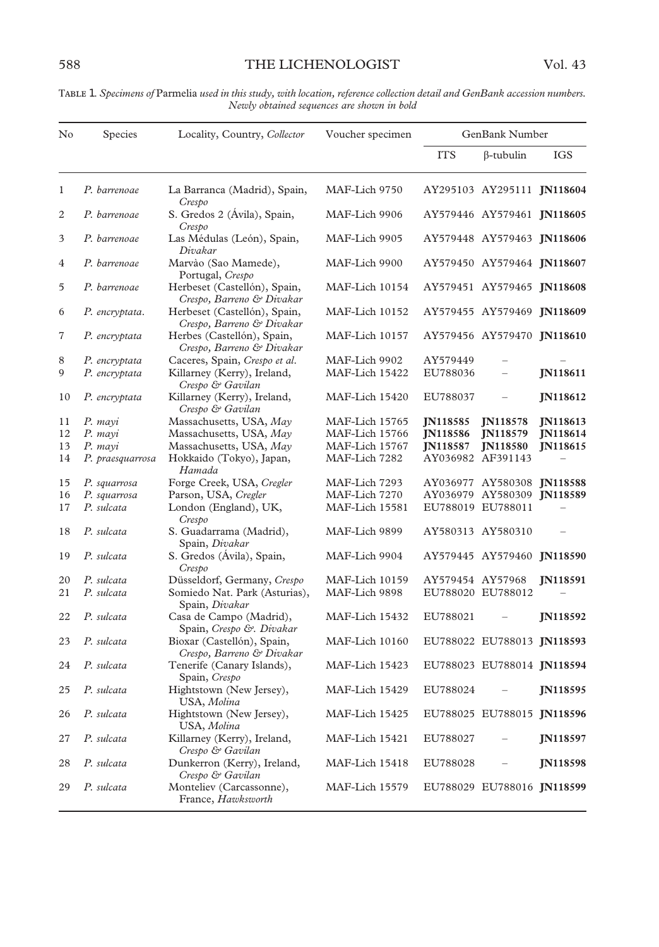| No           | Species          | Locality, Country, Collector                              | Voucher specimen | GenBank Number   |                            |                 |
|--------------|------------------|-----------------------------------------------------------|------------------|------------------|----------------------------|-----------------|
|              |                  |                                                           |                  | <b>ITS</b>       | β-tubulin                  | <b>IGS</b>      |
| $\mathbf{1}$ | P. barrenoae     | La Barranca (Madrid), Spain,<br>Crespo                    | MAF-Lich 9750    |                  | AY295103 AY295111 JN118604 |                 |
| 2            | P. barrenoae     | S. Gredos 2 (Ávila), Spain,<br>Crespo                     | MAF-Lich 9906    |                  | AY579446 AY579461 JN118605 |                 |
| 3            | P. barrenoae     | Las Médulas (León), Spain,<br>Divakar                     | MAF-Lich 9905    |                  | AY579448 AY579463 JN118606 |                 |
| 4            | P. barrenoae     | Marvào (Sao Mamede),<br>Portugal, Crespo                  | MAF-Lich 9900    |                  | AY579450 AY579464 JN118607 |                 |
| 5            | P. barrenoae     | Herbeset (Castellón), Spain,<br>Crespo, Barreno & Divakar | MAF-Lich 10154   |                  | AY579451 AY579465 JN118608 |                 |
| 6            | P. encryptata.   | Herbeset (Castellón), Spain,<br>Crespo, Barreno & Divakar | MAF-Lich 10152   |                  | AY579455 AY579469 JN118609 |                 |
| 7            | P. encryptata    | Herbes (Castellón), Spain,<br>Crespo, Barreno & Divakar   | MAF-Lich 10157   |                  | AY579456 AY579470 JN118610 |                 |
| 8            | P. encryptata    | Caceres, Spain, Crespo et al.                             | MAF-Lich 9902    | AY579449         |                            |                 |
| 9            | P. encryptata    | Killarney (Kerry), Ireland,<br>Crespo & Gavilan           | MAF-Lich 15422   | EU788036         |                            | <b>IN118611</b> |
| 10           | P. encryptata    | Killarney (Kerry), Ireland,<br>Crespo & Gavilan           | MAF-Lich 15420   | EU788037         |                            | <b>JN118612</b> |
| 11           | P. mayi          | Massachusetts, USA, May                                   | MAF-Lich 15765   | <b>IN118585</b>  | <b>IN118578</b>            | <b>IN118613</b> |
| 12           | P. mayi          | Massachusetts, USA, May                                   | MAF-Lich 15766   | JN118586         | JN118579                   | JN118614        |
| 13           | P. mayi          | Massachusetts, USA, May                                   | MAF-Lich 15767   | <b>JN118587</b>  | <b>JN118580</b>            | <b>IN118615</b> |
| 14           | P. praesquarrosa | Hokkaido (Tokyo), Japan,<br>Hamada                        | MAF-Lich 7282    |                  | AY036982 AF391143          |                 |
| 15           | P. squarrosa     | Forge Creek, USA, Cregler                                 | MAF-Lich 7293    |                  | AY036977 AY580308 JN118588 |                 |
| 16           | P. squarrosa     | Parson, USA, Cregler                                      | MAF-Lich 7270    |                  | AY036979 AY580309 JN118589 |                 |
| 17           | P. sulcata       | London (England), UK,<br>Crespo                           | MAF-Lich 15581   |                  | EU788019 EU788011          |                 |
| 18           | P. sulcata       | S. Guadarrama (Madrid),<br>Spain, Divakar                 | MAF-Lich 9899    |                  | AY580313 AY580310          |                 |
| 19           | P. sulcata       | S. Gredos (Avila), Spain,<br>Crespo                       | MAF-Lich 9904    |                  | AY579445 AY579460 JN118590 |                 |
| 20           | P. sulcata       | Düsseldorf, Germany, Crespo                               | MAF-Lich 10159   | AY579454 AY57968 |                            | <b>IN118591</b> |
| 21           | P. sulcata       | Somiedo Nat. Park (Asturias),<br>Spain, Divakar           | MAF-Lich 9898    |                  | EU788020 EU788012          |                 |
| 22           | P. sulcata       | Casa de Campo (Madrid),<br>Spain, Crespo & Divakar        | MAF-Lich 15432   | EU788021         |                            | <b>IN118592</b> |
| 23           | P. sulcata       | Bioxar (Castellón), Spain,<br>Crespo, Barreno & Divakar   | MAF-Lich 10160   |                  | EU788022 EU788013 JN118593 |                 |
| 24           | P. sulcata       | Tenerife (Canary Islands),<br>Spain, Crespo               | MAF-Lich 15423   |                  | EU788023 EU788014 JN118594 |                 |
| 25           | P. sulcata       | Hightstown (New Jersey),<br>USA, Molina                   | MAF-Lich 15429   | EU788024         |                            | <b>JN118595</b> |
| 26           | P. sulcata       | Hightstown (New Jersey),<br>USA, Molina                   | MAF-Lich 15425   |                  | EU788025 EU788015 IN118596 |                 |
| 27           | P. sulcata       | Killarney (Kerry), Ireland,<br>Crespo & Gavilan           | MAF-Lich 15421   | EU788027         |                            | <b>JN118597</b> |
| 28           | P. sulcata       | Dunkerron (Kerry), Ireland,<br>Crespo & Gavilan           | MAF-Lich 15418   | EU788028         |                            | <b>IN118598</b> |
| 29           | P. sulcata       | Monteliev (Carcassonne),<br>France, Hawksworth            | MAF-Lich 15579   |                  | EU788029 EU788016 JN118599 |                 |

T 1. *Specimens of* Parmelia *used in this study, with location, reference collection detail and GenBank accession numbers. Newly obtained sequences are shown in bold*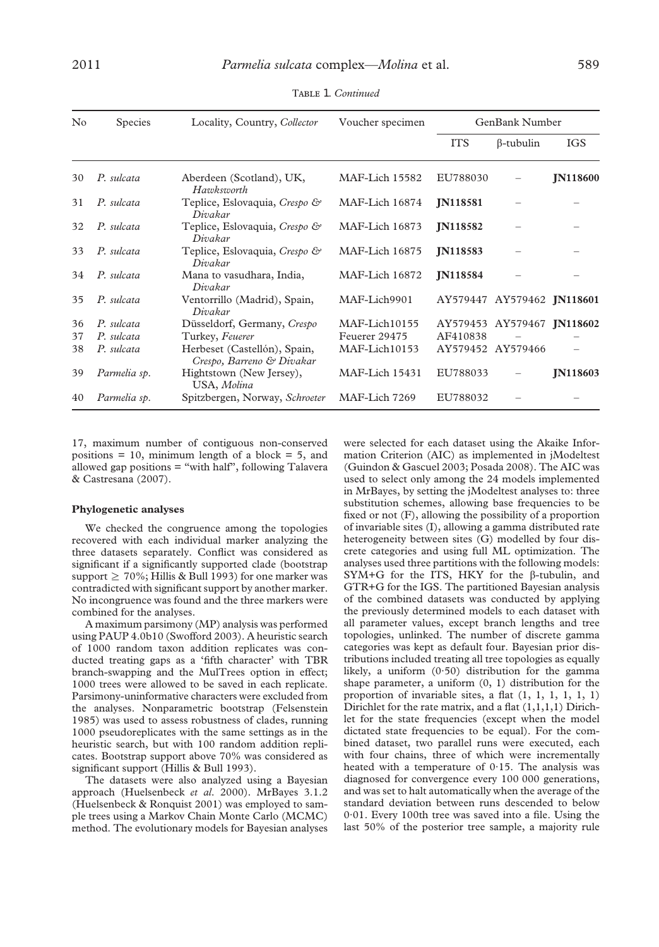| $\rm No$ | Species      | Locality, Country, Collector                              | Voucher specimen | GenBank Number    |                            |                 |
|----------|--------------|-----------------------------------------------------------|------------------|-------------------|----------------------------|-----------------|
|          |              |                                                           |                  | <b>ITS</b>        | $\beta$ -tubulin           | <b>IGS</b>      |
| 30       | P. sulcata   | Aberdeen (Scotland), UK,<br>Hazokszoorth                  | MAF-Lich 15582   | EU788030          |                            | <b>IN118600</b> |
| 31       | P. sulcata   | Teplice, Eslovaquia, Crespo &<br>Divakar                  | MAF-Lich 16874   | <b>IN118581</b>   |                            |                 |
| 32       | P. sulcata   | Teplice, Eslovaquia, Crespo &<br>Divakar                  | MAF-Lich 16873   | <b>IN118582</b>   |                            |                 |
| 33       | P. sulcata   | Teplice, Eslovaquia, Crespo &<br>Divakar                  | MAF-Lich 16875   | <b>IN118583</b>   |                            |                 |
| 34       | P. sulcata   | Mana to vasudhara, India,<br>Divakar                      | MAF-Lich 16872   | <b>IN118584</b>   |                            |                 |
| 35       | P. sulcata   | Ventorrillo (Madrid), Spain,<br>Divakar                   | MAF-Lich9901     |                   | AY579447 AY579462 JN118601 |                 |
| 36       | P. sulcata   | Düsseldorf, Germany, Crespo                               | MAF-Lich10155    |                   | AY579453 AY579467 JN118602 |                 |
| 37       | P. sulcata   | Turkey, Feuerer                                           | Feuerer 29475    | AF410838          |                            |                 |
| 38       | P. sulcata   | Herbeset (Castellón), Spain,<br>Crespo, Barreno & Divakar | MAF-Lich10153    | AY579452 AY579466 |                            |                 |
| 39       | Parmelia sp. | Hightstown (New Jersey),<br>USA, Molina                   | MAF-Lich 15431   | EU788033          |                            | <b>IN118603</b> |
| 40       | Parmelia sp. | Spitzbergen, Norway, Schroeter                            | MAF-Lich 7269    | EU788032          |                            |                 |

TABLE 1. *Continued* 

17, maximum number of contiguous non-conserved positions  $= 10$ , minimum length of a block  $= 5$ , and allowed gap positions = "with half", following Talavera & Castresana (2007).

#### **Phylogenetic analyses**

We checked the congruence among the topologies recovered with each individual marker analyzing the three datasets separately. Conflict was considered as significant if a significantly supported clade (bootstrap support  $\geq 70\%$ ; Hillis & Bull 1993) for one marker was contradicted with significant support by another marker. No incongruence was found and the three markers were combined for the analyses.

A maximum parsimony (MP) analysis was performed using PAUP 4.0b10 (Swofford 2003). A heuristic search of 1000 random taxon addition replicates was conducted treating gaps as a 'fifth character' with TBR branch-swapping and the MulTrees option in effect; 1000 trees were allowed to be saved in each replicate. Parsimony-uninformative characters were excluded from the analyses. Nonparametric bootstrap (Felsenstein 1985) was used to assess robustness of clades, running 1000 pseudoreplicates with the same settings as in the heuristic search, but with 100 random addition replicates. Bootstrap support above 70% was considered as significant support (Hillis & Bull 1993).

The datasets were also analyzed using a Bayesian approach (Huelsenbeck *et al*. 2000). MrBayes 3.1.2 (Huelsenbeck & Ronquist 2001) was employed to sample trees using a Markov Chain Monte Carlo (MCMC) method. The evolutionary models for Bayesian analyses were selected for each dataset using the Akaike Information Criterion (AIC) as implemented in jModeltest (Guindon & Gascuel 2003; Posada 2008). The AIC was used to select only among the 24 models implemented in MrBayes, by setting the jModeltest analyses to: three substitution schemes, allowing base frequencies to be fixed or not (F), allowing the possibility of a proportion of invariable sites (I), allowing a gamma distributed rate heterogeneity between sites (G) modelled by four discrete categories and using full ML optimization. The analyses used three partitions with the following models: SYM+G for the ITS, HKY for the  $\beta$ -tubulin, and GTR+G for the IGS. The partitioned Bayesian analysis of the combined datasets was conducted by applying the previously determined models to each dataset with all parameter values, except branch lengths and tree topologies, unlinked. The number of discrete gamma categories was kept as default four. Bayesian prior distributions included treating all tree topologies as equally likely, a uniform  $(0.50)$  distribution for the gamma shape parameter, a uniform (0, 1) distribution for the proportion of invariable sites, a flat (1, 1, 1, 1, 1, 1) Dirichlet for the rate matrix, and a flat  $(1,1,1,1)$  Dirichlet for the state frequencies (except when the model dictated state frequencies to be equal). For the combined dataset, two parallel runs were executed, each with four chains, three of which were incrementally heated with a temperature of 0·15. The analysis was diagnosed for convergence every 100 000 generations, and was set to halt automatically when the average of the standard deviation between runs descended to below 0·01. Every 100th tree was saved into a file. Using the last 50% of the posterior tree sample, a majority rule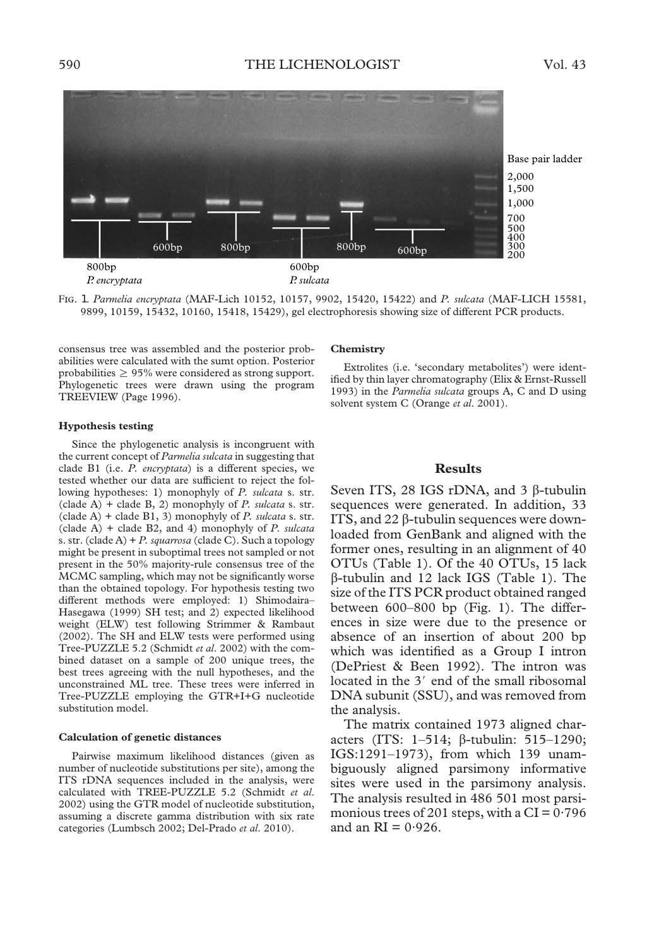

F. 1. *Parmelia encryptata* (MAF-Lich 10152, 10157, 9902, 15420, 15422) and *P. sulcata* (MAF-LICH 15581, 9899, 10159, 15432, 10160, 15418, 15429), gel electrophoresis showing size of different PCR products.

consensus tree was assembled and the posterior probabilities were calculated with the sumt option. Posterior probabilities  $\geq 95\%$  were considered as strong support. Phylogenetic trees were drawn using the program TREEVIEW (Page 1996).

### **Hypothesis testing**

Since the phylogenetic analysis is incongruent with the current concept of *Parmelia sulcata* in suggesting that clade B1 (i.e. *P. encryptata*) is a different species, we tested whether our data are sufficient to reject the following hypotheses: 1) monophyly of *P. sulcata* s. str. (clade A) + clade B, 2) monophyly of *P. sulcata* s. str. (clade A) + clade B1, 3) monophyly of *P. sulcata* s. str. (clade A) + clade B2, and 4) monophyly of *P. sulcata* s. str. (clade A) + *P. squarrosa* (clade C). Such a topology might be present in suboptimal trees not sampled or not present in the 50% majority-rule consensus tree of the MCMC sampling, which may not be significantly worse than the obtained topology. For hypothesis testing two different methods were employed: 1) Shimodaira– Hasegawa (1999) SH test; and 2) expected likelihood weight (ELW) test following Strimmer & Rambaut (2002). The SH and ELW tests were performed using Tree-PUZZLE 5.2 (Schmidt *et al*. 2002) with the combined dataset on a sample of 200 unique trees, the best trees agreeing with the null hypotheses, and the unconstrained ML tree. These trees were inferred in Tree-PUZZLE employing the GTR+I+G nucleotide substitution model.

#### **Calculation of genetic distances**

Pairwise maximum likelihood distances (given as number of nucleotide substitutions per site), among the ITS rDNA sequences included in the analysis, were calculated with TREE-PUZZLE 5.2 (Schmidt *et al*. 2002) using the GTR model of nucleotide substitution, assuming a discrete gamma distribution with six rate categories (Lumbsch 2002; Del-Prado *et al*. 2010).

#### **Chemistry**

Extrolites (i.e. 'secondary metabolites') were identified by thin layer chromatography (Elix & Ernst-Russell 1993) in the *Parmelia sulcata* groups A, C and D using solvent system C (Orange *et al*. 2001).

# **Results**

Seven ITS, 28 IGS rDNA, and 3  $\beta$ -tubulin sequences were generated. In addition, 33 ITS, and 22  $\beta$ -tubulin sequences were downloaded from GenBank and aligned with the former ones, resulting in an alignment of 40 OTUs (Table 1). Of the 40 OTUs, 15 lack -tubulin and 12 lack IGS (Table 1). The size of the ITS PCR product obtained ranged between 600–800 bp (Fig. 1). The differences in size were due to the presence or absence of an insertion of about 200 bp which was identified as a Group I intron (DePriest & Been 1992). The intron was located in the 3' end of the small ribosomal DNA subunit (SSU), and was removed from the analysis.

The matrix contained 1973 aligned characters (ITS: 1-514;  $\beta$ -tubulin: 515-1290; IGS:1291–1973), from which 139 unambiguously aligned parsimony informative sites were used in the parsimony analysis. The analysis resulted in 486 501 most parsimonious trees of 201 steps, with a  $CI = 0.796$ and an  $RI = 0.926$ .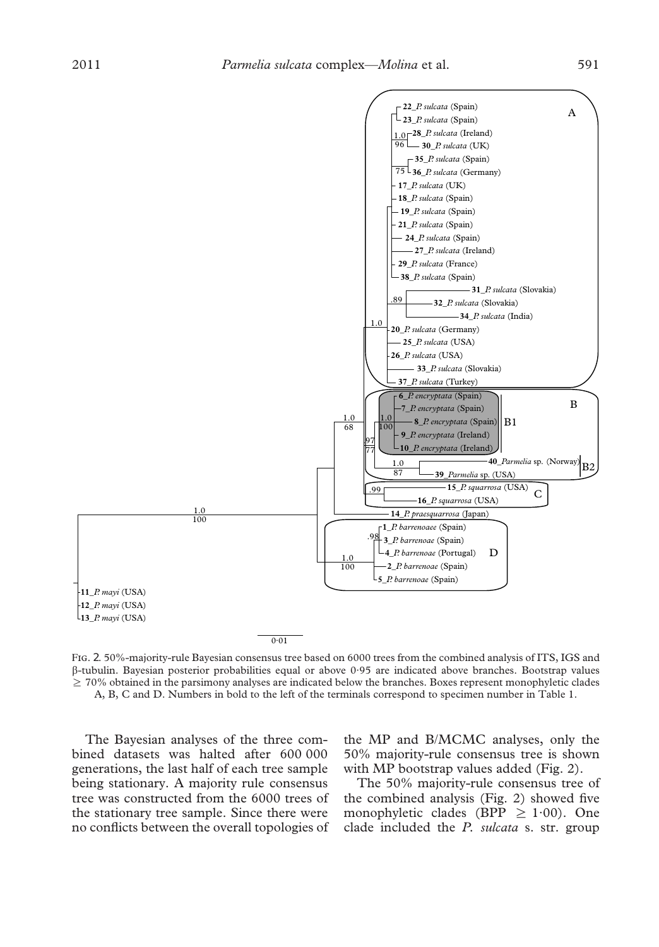

FIG. 2. 50%-majority-rule Bayesian consensus tree based on 6000 trees from the combined analysis of ITS, IGS and -tubulin. Bayesian posterior probabilities equal or above 0·95 are indicated above branches. Bootstrap values  $\geq$  70% obtained in the parsimony analyses are indicated below the branches. Boxes represent monophyletic clades A, B, C and D. Numbers in bold to the left of the terminals correspond to specimen number in Table 1.

The Bayesian analyses of the three combined datasets was halted after 600 000 generations, the last half of each tree sample being stationary. A majority rule consensus tree was constructed from the 6000 trees of the stationary tree sample. Since there were no conflicts between the overall topologies of

the MP and B/MCMC analyses, only the 50% majority-rule consensus tree is shown with MP bootstrap values added (Fig. 2).

The 50% majority-rule consensus tree of the combined analysis (Fig. 2) showed five monophyletic clades (BPP  $\geq$  1·00). One clade included the *P. sulcata* s. str. group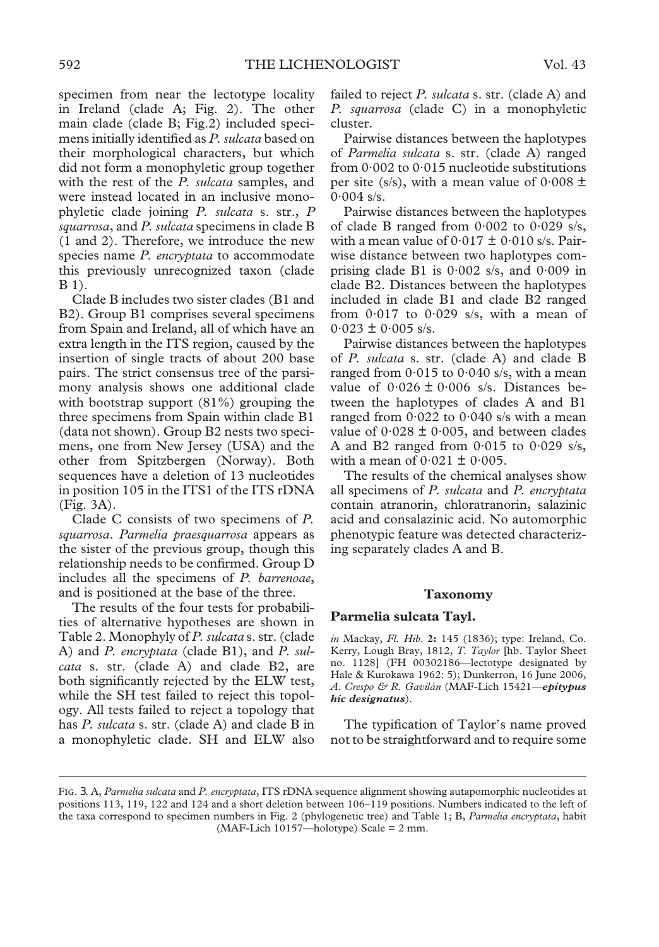specimen from near the lectotype locality in Ireland (clade A; Fig. 2). The other main clade (clade B; Fig.2) included specimens initially identified as *P. sulcata* based on their morphological characters, but which did not form a monophyletic group together with the rest of the *P. sulcata* samples, and were instead located in an inclusive monophyletic clade joining *P. sulcata* s. str., *P squarrosa*, and *P. sulcata* specimens in clade B (1 and 2). Therefore, we introduce the new species name *P. encryptata* to accommodate this previously unrecognized taxon (clade B 1).

Clade B includes two sister clades (B1 and B2). Group B1 comprises several specimens from Spain and Ireland, all of which have an extra length in the ITS region, caused by the insertion of single tracts of about 200 base pairs. The strict consensus tree of the parsimony analysis shows one additional clade with bootstrap support (81%) grouping the three specimens from Spain within clade B1 (data not shown). Group B2 nests two specimens, one from New Jersey (USA) and the other from Spitzbergen (Norway). Both sequences have a deletion of 13 nucleotides in position 105 in the ITS1 of the ITS rDNA (Fig. 3A).

Clade C consists of two specimens of *P. squarrosa*. *Parmelia praesquarrosa* appears as the sister of the previous group, though this relationship needs to be confirmed. Group D includes all the specimens of *P. barrenoae*, and is positioned at the base of the three.

The results of the four tests for probabilities of alternative hypotheses are shown in Table 2. Monophyly of *P. sulcata* s. str. (clade A) and *P. encryptata* (clade B1), and *P. sulcata* s. str. (clade A) and clade B2, are both significantly rejected by the ELW test, while the SH test failed to reject this topology. All tests failed to reject a topology that has *P. sulcata* s. str. (clade A) and clade B in a monophyletic clade. SH and ELW also failed to reject *P. sulcata* s. str. (clade A) and *P. squarrosa* (clade C) in a monophyletic cluster.

Pairwise distances between the haplotypes of *Parmelia sulcata* s. str. (clade A) ranged from 0·002 to 0·015 nucleotide substitutions per site (s/s), with a mean value of  $0.008 \pm$  $0.004$  s/s.

Pairwise distances between the haplotypes of clade B ranged from  $0.002$  to  $0.029$  s/s, with a mean value of  $0.017 \pm 0.010$  s/s. Pairwise distance between two haplotypes comprising clade B1 is  $0.002$  s/s, and  $0.009$  in clade B2. Distances between the haplotypes included in clade B1 and clade B2 ranged from  $0.017$  to  $0.029$  s/s, with a mean of  $0.023 \pm 0.005$  s/s.

Pairwise distances between the haplotypes of *P. sulcata* s. str. (clade A) and clade B ranged from  $0.015$  to  $0.040$  s/s, with a mean value of  $0.026 \pm 0.006$  s/s. Distances between the haplotypes of clades A and B1 ranged from  $0.022$  to  $0.040$  s/s with a mean value of  $0.028 \pm 0.005$ , and between clades A and B2 ranged from  $0.015$  to  $0.029$  s/s, with a mean of  $0.021 \pm 0.005$ .

The results of the chemical analyses show all specimens of *P. sulcata* and *P. encryptata* contain atranorin, chloratranorin, salazinic acid and consalazinic acid. No automorphic phenotypic feature was detected characterizing separately clades A and B.

## **Taxonomy**

## **Parmelia sulcata Tayl.**

*in* Mackay, *Fl. Hib*. **2:** 145 (1836); type: Ireland, Co. Kerry, Lough Bray, 1812, *T. Taylor* [hb. Taylor Sheet no. 1128] (FH 00302186—lectotype designated by Hale & Kurokawa 1962: 5); Dunkerron, 16 June 2006, *A. Crespo & R. Gavilán* (MAF-Lich 15421—*epitypus hic designatus*).

The typification of Taylor's name proved not to be straightforward and to require some

FIG. 3. A, *Parmelia sulcata* and *P. encryptata*, ITS rDNA sequence alignment showing autapomorphic nucleotides at positions 113, 119, 122 and 124 and a short deletion between 106–119 positions. Numbers indicated to the left of the taxa correspond to specimen numbers in Fig. 2 (phylogenetic tree) and Table 1; B, *Parmelia encryptata*, habit (MAF-Lich 10157—holotype) Scale = 2 mm.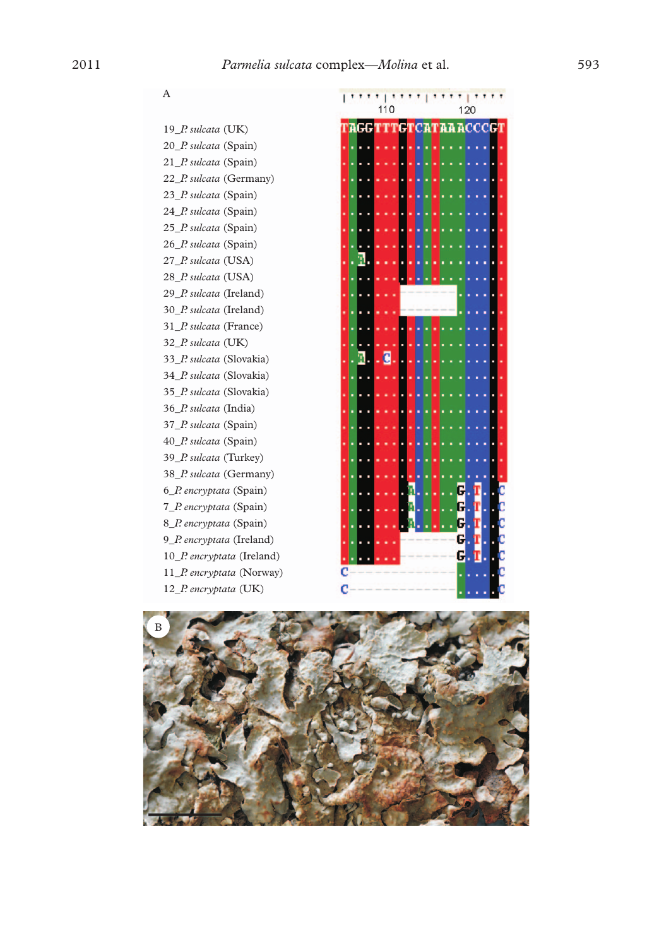# $\mathbf{A}$

19\_P. sulcata (UK) 20\_P. sulcata (Spain) 21\_P. sulcata (Spain) 22\_P. sulcata (Germany) 23\_P. sulcata (Spain) 24\_P. sulcata (Spain) 25\_P. sulcata (Spain) 26\_P. sulcata (Spain) 27\_P. sulcata (USA) 28\_P. sulcata (USA) 29\_P. sulcata (Ireland) 30\_P. sulcata (Ireland) 31\_P. sulcata (France) 32\_P. sulcata (UK) 33\_P. sulcata (Slovakia) 34\_P. sulcata (Slovakia) 35\_P. sulcata (Slovakia) 36\_P. sulcata (India) 37\_P. sulcata (Spain) 40\_P. sulcata (Spain) 39\_P. sulcata (Turkey) 38\_P. sulcata (Germany) 6\_P. encryptata (Spain) 7\_P. encryptata (Spain) 8\_P. encryptata (Spain) 9\_P. encryptata (Ireland) 10\_P. encryptata (Ireland) 11\_P. encryptata (Norway) 12\_P. encryptata (UK)



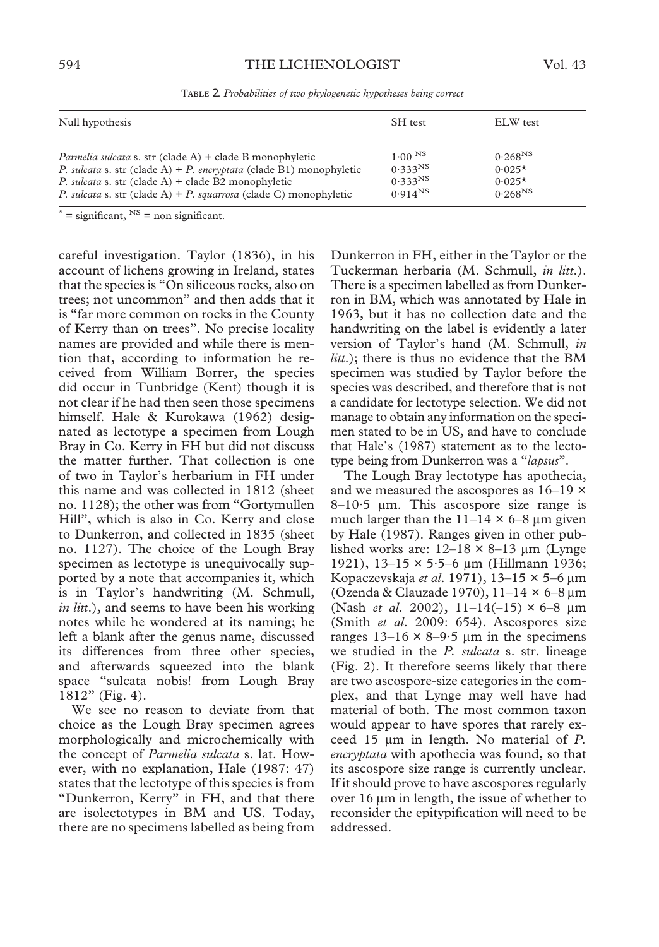| Null hypothesis                                                     | SH test             | ELW test     |
|---------------------------------------------------------------------|---------------------|--------------|
| <i>Parmelia sulcata</i> s. str (clade A) + clade B monophyletic     | $1.00^{N_S}$        | $0.268^{NS}$ |
| P. sulcata s. str (clade A) + P. encryptata (clade B1) monophyletic | $0.333^{NS}$        | $0.025*$     |
| P. sulcata s. str (clade A) + clade B2 monophyletic                 | 0.333 <sup>NS</sup> | $0.025*$     |
| P. sulcata s. str (clade A) + P. squarrosa (clade C) monophyletic   | $0.914^{NS}$        | $0.268^{NS}$ |

TABLE 2. Probabilities of two phylogenetic hypotheses being correct

 $x^*$  = significant,  $N^S$  = non significant.

careful investigation. Taylor (1836), in his account of lichens growing in Ireland, states that the species is "On siliceous rocks, also on trees; not uncommon" and then adds that it is "far more common on rocks in the County of Kerry than on trees". No precise locality names are provided and while there is mention that, according to information he received from William Borrer, the species did occur in Tunbridge (Kent) though it is not clear if he had then seen those specimens himself. Hale & Kurokawa (1962) designated as lectotype a specimen from Lough Bray in Co. Kerry in FH but did not discuss the matter further. That collection is one of two in Taylor's herbarium in FH under this name and was collected in 1812 (sheet no. 1128); the other was from "Gortymullen Hill", which is also in Co. Kerry and close to Dunkerron, and collected in 1835 (sheet no. 1127). The choice of the Lough Bray specimen as lectotype is unequivocally supported by a note that accompanies it, which is in Taylor's handwriting (M. Schmull, *in litt*.), and seems to have been his working notes while he wondered at its naming; he left a blank after the genus name, discussed its differences from three other species, and afterwards squeezed into the blank space "sulcata nobis! from Lough Bray 1812" (Fig. 4).

We see no reason to deviate from that choice as the Lough Bray specimen agrees morphologically and microchemically with the concept of *Parmelia sulcata* s. lat. However, with no explanation, Hale (1987: 47) states that the lectotype of this species is from "Dunkerron, Kerry" in FH, and that there are isolectotypes in BM and US. Today, there are no specimens labelled as being from

Dunkerron in FH, either in the Taylor or the Tuckerman herbaria (M. Schmull, *in litt*.). There is a specimen labelled as from Dunkerron in BM, which was annotated by Hale in 1963, but it has no collection date and the handwriting on the label is evidently a later version of Taylor's hand (M. Schmull, *in litt*.); there is thus no evidence that the BM specimen was studied by Taylor before the species was described, and therefore that is not a candidate for lectotype selection. We did not manage to obtain any information on the specimen stated to be in US, and have to conclude that Hale's (1987) statement as to the lectotype being from Dunkerron was a "*lapsus*".

The Lough Bray lectotype has apothecia, and we measured the ascospores as 16–19 ×  $8-10.5$  µm. This ascospore size range is much larger than the  $11-14 \times 6-8 \mu m$  given by Hale (1987). Ranges given in other published works are:  $12-18 \times 8-13 \mu m$  (Lynge 1921), 13-15  $\times$  5 $\cdot$ 5-6  $\mu$ m (Hillmann 1936; Kopaczevskaja *et al*. 1971), 13–15 × 5–6 µm (Ozenda & Clauzade 1970),  $11-14 \times 6-8 \,\mu m$ (Nash *et al.* 2002), 11-14(-15) × 6-8 µm (Smith *et al*. 2009: 654). Ascospores size ranges  $13-16 \times 8-9.5 \mu m$  in the specimens we studied in the *P. sulcata* s. str. lineage (Fig. 2). It therefore seems likely that there are two ascospore-size categories in the complex, and that Lynge may well have had material of both. The most common taxon would appear to have spores that rarely exceed  $15 \mu m$  in length. No material of *P*. *encryptata* with apothecia was found, so that its ascospore size range is currently unclear. If it should prove to have ascospores regularly over 16  $\mu$ m in length, the issue of whether to reconsider the epitypification will need to be addressed.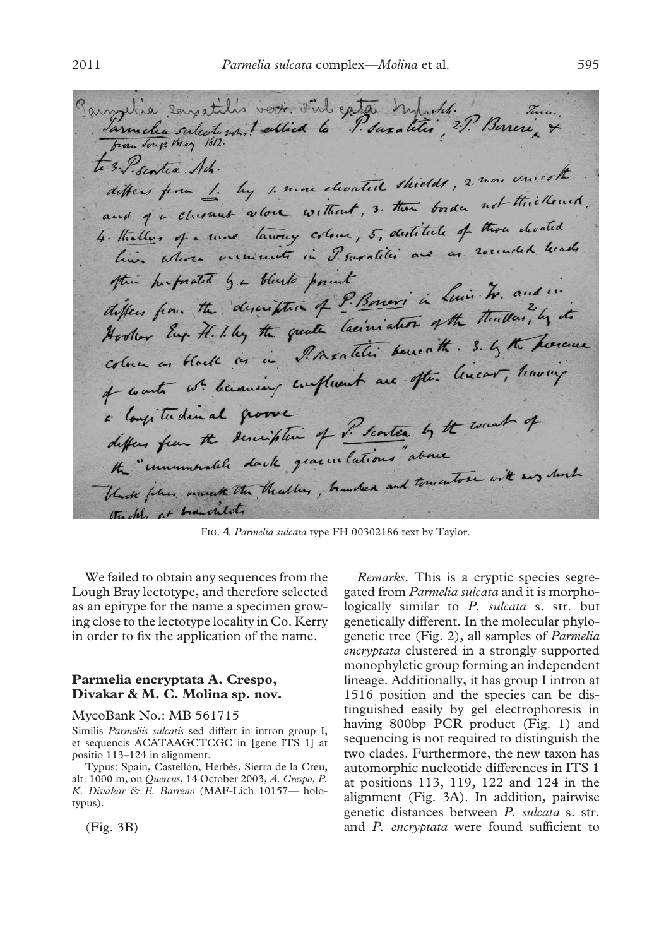Parrylia servatilis voir. S'il extre Match. 7. Bonne, 7. to 3. P. Scontia Ach. 3. Sentea Ach.<br>differs from 1. by 1. more elevated shields, 2. more unicother actions from the more without, 3. then border not thickened, 4. Hallen of a time toway colour, 5, destitute of those devated him whose exeminity in P. supplies are as rounded heads the herforated be black point the highest ge description of P. Boners in Line . We and in differs from the description of I. Boners in afthe thereton, by its Hooker Eng. H. I. by the quale launeaus . 3. by the hearce colorer os black as a vinction are often linear, having a longitudinal groove a longitudinal groover of P. senter by the work of the "unumerable dark gracuilations" above the unumerable dail gracuitations and towartose with any short thickly at branchlet.

FIG. 4. Parmelia sulcata type FH 00302186 text by Taylor.

We failed to obtain any sequences from the Lough Bray lectotype, and therefore selected as an epitype for the name a specimen growing close to the lectotype locality in Co. Kerry in order to fix the application of the name.

# **Parmelia encryptata A. Crespo, Divakar & M. C. Molina sp. nov.**

### MycoBank No.: MB 561715

Similis *Parmeliis sulcatis* sed differt in intron group I, et sequencis ACATAAGCTCGC in [gene ITS 1] at positio 113–124 in alignment.

Typus: Spain, Castellón, Herbès, Sierra de la Creu, alt. 1000 m, on *Quercus*, 14 October 2003, *A. Crespo, P. K. Divakar & E. Barreno* (MAF-Lich 10157— holotypus).

(Fig. 3B)

*Remarks*. This is a cryptic species segregated from *Parmelia sulcata* and it is morphologically similar to *P. sulcata* s. str. but genetically different. In the molecular phylogenetic tree (Fig. 2), all samples of *Parmelia encryptata* clustered in a strongly supported monophyletic group forming an independent lineage. Additionally, it has group I intron at 1516 position and the species can be distinguished easily by gel electrophoresis in having 800bp PCR product (Fig. 1) and sequencing is not required to distinguish the two clades. Furthermore, the new taxon has automorphic nucleotide differences in ITS 1 at positions 113, 119, 122 and 124 in the alignment (Fig. 3A). In addition, pairwise genetic distances between *P. sulcata* s. str. and *P. encryptata* were found sufficient to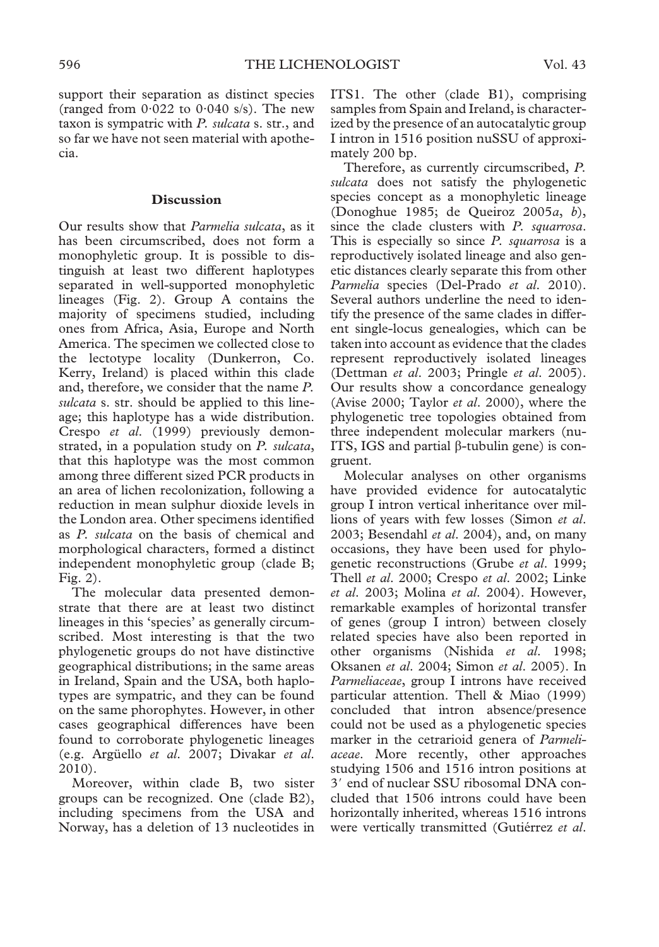support their separation as distinct species (ranged from  $0.022$  to  $0.040$  s/s). The new taxon is sympatric with *P. sulcata* s. str., and so far we have not seen material with apothecia.

# **Discussion**

Our results show that *Parmelia sulcata*, as it has been circumscribed, does not form a monophyletic group. It is possible to distinguish at least two different haplotypes separated in well-supported monophyletic lineages (Fig. 2). Group A contains the majority of specimens studied, including ones from Africa, Asia, Europe and North America. The specimen we collected close to the lectotype locality (Dunkerron, Co. Kerry, Ireland) is placed within this clade and, therefore, we consider that the name *P. sulcata* s. str. should be applied to this lineage; this haplotype has a wide distribution. Crespo *et al*. (1999) previously demonstrated, in a population study on *P. sulcata*, that this haplotype was the most common among three different sized PCR products in an area of lichen recolonization, following a reduction in mean sulphur dioxide levels in the London area. Other specimens identified as *P. sulcata* on the basis of chemical and morphological characters, formed a distinct independent monophyletic group (clade B; Fig. 2).

The molecular data presented demonstrate that there are at least two distinct lineages in this 'species' as generally circumscribed. Most interesting is that the two phylogenetic groups do not have distinctive geographical distributions; in the same areas in Ireland, Spain and the USA, both haplotypes are sympatric, and they can be found on the same phorophytes. However, in other cases geographical differences have been found to corroborate phylogenetic lineages (e.g. Argüello *et al*. 2007; Divakar *et al*. 2010).

Moreover, within clade B, two sister groups can be recognized. One (clade B2), including specimens from the USA and Norway, has a deletion of 13 nucleotides in ITS1. The other (clade B1), comprising samples from Spain and Ireland, is characterized by the presence of an autocatalytic group I intron in 1516 position nuSSU of approximately 200 bp.

Therefore, as currently circumscribed, *P. sulcata* does not satisfy the phylogenetic species concept as a monophyletic lineage (Donoghue 1985; de Queiroz 2005*a*, *b*), since the clade clusters with *P. squarrosa*. This is especially so since *P. squarrosa* is a reproductively isolated lineage and also genetic distances clearly separate this from other *Parmelia* species (Del-Prado *et al*. 2010). Several authors underline the need to identify the presence of the same clades in different single-locus genealogies, which can be taken into account as evidence that the clades represent reproductively isolated lineages (Dettman *et al*. 2003; Pringle *et al*. 2005). Our results show a concordance genealogy (Avise 2000; Taylor *et al*. 2000), where the phylogenetic tree topologies obtained from three independent molecular markers (nu-ITS, IGS and partial  $\beta$ -tubulin gene) is congruent.

Molecular analyses on other organisms have provided evidence for autocatalytic group I intron vertical inheritance over millions of years with few losses (Simon *et al*. 2003; Besendahl *et al*. 2004), and, on many occasions, they have been used for phylogenetic reconstructions (Grube *et al*. 1999; Thell *et al*. 2000; Crespo *et al*. 2002; Linke *et al*. 2003; Molina *et al*. 2004). However, remarkable examples of horizontal transfer of genes (group I intron) between closely related species have also been reported in other organisms (Nishida *et al*. 1998; Oksanen *et al*. 2004; Simon *et al*. 2005). In *Parmeliaceae*, group I introns have received particular attention. Thell & Miao (1999) concluded that intron absence/presence could not be used as a phylogenetic species marker in the cetrarioid genera of *Parmeliaceae*. More recently, other approaches studying 1506 and 1516 intron positions at 3' end of nuclear SSU ribosomal DNA concluded that 1506 introns could have been horizontally inherited, whereas 1516 introns were vertically transmitted (Gutiérrez *et al*.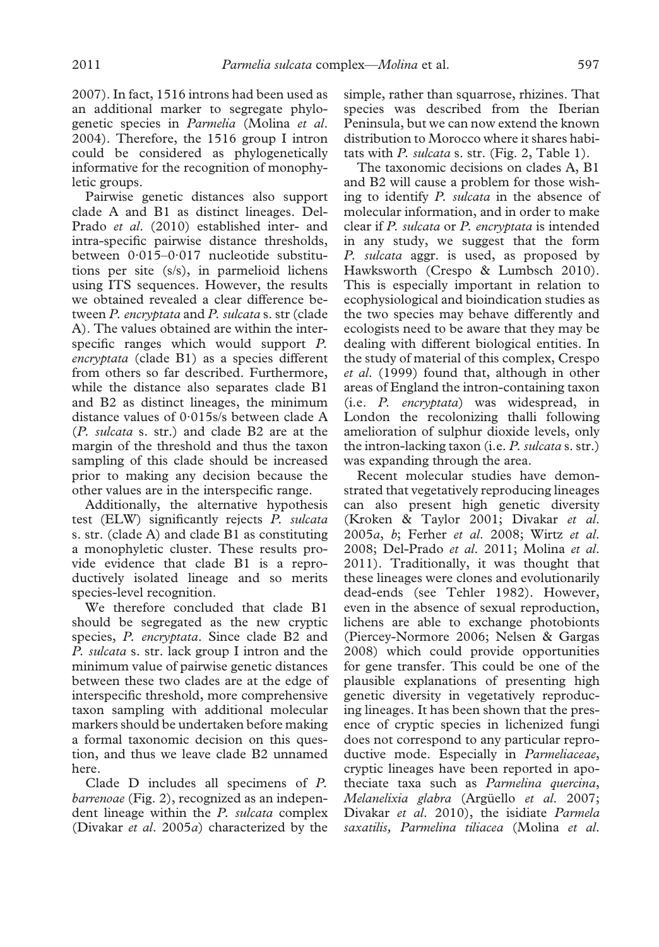2007). In fact, 1516 introns had been used as an additional marker to segregate phylogenetic species in *Parmelia* (Molina *et al*. 2004). Therefore, the 1516 group I intron could be considered as phylogenetically informative for the recognition of monophyletic groups.

Pairwise genetic distances also support clade A and B1 as distinct lineages. Del-Prado *et al*. (2010) established inter- and intra-specific pairwise distance thresholds, between 0·015–0·017 nucleotide substitutions per site (s/s), in parmelioid lichens using ITS sequences. However, the results we obtained revealed a clear difference between *P. encryptata* and *P. sulcata* s. str (clade A). The values obtained are within the interspecific ranges which would support *P. encryptata* (clade B1) as a species different from others so far described. Furthermore, while the distance also separates clade B1 and B2 as distinct lineages, the minimum distance values of 0·015s/s between clade A (*P. sulcata* s. str.) and clade B2 are at the margin of the threshold and thus the taxon sampling of this clade should be increased prior to making any decision because the other values are in the interspecific range.

Additionally, the alternative hypothesis test (ELW) significantly rejects *P. sulcata* s. str. (clade A) and clade B1 as constituting a monophyletic cluster. These results provide evidence that clade B1 is a reproductively isolated lineage and so merits species-level recognition.

We therefore concluded that clade B1 should be segregated as the new cryptic species, *P. encryptata*. Since clade B2 and *P. sulcata* s. str. lack group I intron and the minimum value of pairwise genetic distances between these two clades are at the edge of interspecific threshold, more comprehensive taxon sampling with additional molecular markers should be undertaken before making a formal taxonomic decision on this question, and thus we leave clade B2 unnamed here.

Clade D includes all specimens of *P. barrenoae* (Fig. 2), recognized as an independent lineage within the *P. sulcata* complex (Divakar *et al*. 2005*a*) characterized by the simple, rather than squarrose, rhizines. That species was described from the Iberian Peninsula, but we can now extend the known distribution to Morocco where it shares habitats with *P. sulcata* s. str. (Fig. 2, Table 1).

The taxonomic decisions on clades A, B1 and B2 will cause a problem for those wishing to identify *P. sulcata* in the absence of molecular information, and in order to make clear if *P. sulcata* or *P. encryptata* is intended in any study, we suggest that the form *P. sulcata* aggr. is used, as proposed by Hawksworth (Crespo & Lumbsch 2010). This is especially important in relation to ecophysiological and bioindication studies as the two species may behave differently and ecologists need to be aware that they may be dealing with different biological entities. In the study of material of this complex, Crespo *et al*. (1999) found that, although in other areas of England the intron-containing taxon (i.e. *P. encryptata*) was widespread, in London the recolonizing thalli following amelioration of sulphur dioxide levels, only the intron-lacking taxon (i.e. *P. sulcata* s. str.) was expanding through the area.

Recent molecular studies have demonstrated that vegetatively reproducing lineages can also present high genetic diversity (Kroken & Taylor 2001; Divakar *et al*. 2005*a*, *b*; Ferher *et al*. 2008; Wirtz *et al*. 2008; Del-Prado *et al*. 2011; Molina *et al*. 2011). Traditionally, it was thought that these lineages were clones and evolutionarily dead-ends (see Tehler 1982). However, even in the absence of sexual reproduction, lichens are able to exchange photobionts (Piercey-Normore 2006; Nelsen & Gargas 2008) which could provide opportunities for gene transfer. This could be one of the plausible explanations of presenting high genetic diversity in vegetatively reproducing lineages. It has been shown that the presence of cryptic species in lichenized fungi does not correspond to any particular reproductive mode. Especially in *Parmeliaceae*, cryptic lineages have been reported in apotheciate taxa such as *Parmelina quercina*, *Melanelixia glabra* (Argüello *et al*. 2007; Divakar *et al*. 2010), the isidiate *Parmela saxatilis, Parmelina tiliacea* (Molina *et al*.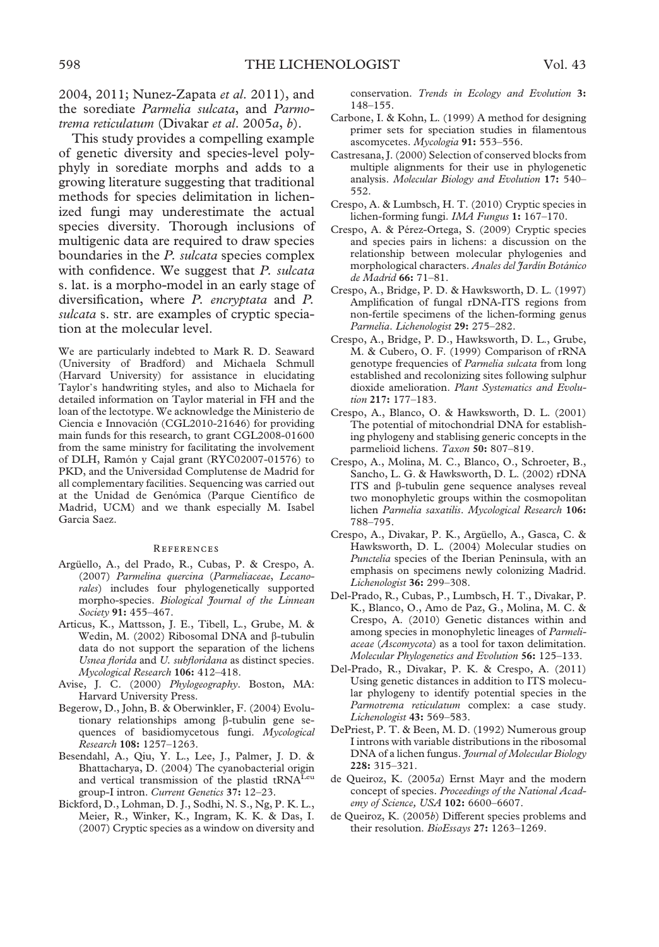2004, 2011; Nunez-Zapata *et al*. 2011), and the sorediate *Parmelia sulcata*, and *Parmotrema reticulatum* (Divakar *et al*. 2005*a*, *b*).

This study provides a compelling example of genetic diversity and species-level polyphyly in sorediate morphs and adds to a growing literature suggesting that traditional methods for species delimitation in lichenized fungi may underestimate the actual species diversity. Thorough inclusions of multigenic data are required to draw species boundaries in the *P. sulcata* species complex with confidence. We suggest that *P. sulcata* s. lat. is a morpho-model in an early stage of diversification, where *P. encryptata* and *P. sulcata* s. str. are examples of cryptic speciation at the molecular level.

We are particularly indebted to Mark R. D. Seaward (University of Bradford) and Michaela Schmull (Harvard University) for assistance in elucidating Taylor's handwriting styles, and also to Michaela for detailed information on Taylor material in FH and the loan of the lectotype. We acknowledge the Ministerio de Ciencia e Innovación (CGL2010-21646) for providing main funds for this research, to grant CGL2008-01600 from the same ministry for facilitating the involvement of DLH, Ramón y Cajal grant (RYC02007-01576) to PKD, and the Universidad Complutense de Madrid for all complementary facilities. Sequencing was carried out at the Unidad de Genómica (Parque Científico de Madrid, UCM) and we thank especially M. Isabel Garcia Saez.

#### **REFERENCES**

- Argüello, A., del Prado, R., Cubas, P. & Crespo, A. (2007) *Parmelina quercina* (*Parmeliaceae*, *Lecanorales*) includes four phylogenetically supported morpho-species. *Biological Journal of the Linnean Society* **91:** 455–467.
- Articus, K., Mattsson, J. E., Tibell, L., Grube, M. & Wedin, M. (2002) Ribosomal DNA and  $\beta$ -tubulin data do not support the separation of the lichens *Usnea florida* and *U. subfloridana* as distinct species. *Mycological Research* **106:** 412–418.
- Avise, J. C. (2000) *Phylogeography*. Boston, MA: Harvard University Press.
- Begerow, D., John, B. & Oberwinkler, F. (2004) Evolutionary relationships among  $\beta$ -tubulin gene sequences of basidiomycetous fungi. *Mycological Research* **108:** 1257–1263.
- Besendahl, A., Qiu, Y. L., Lee, J., Palmer, J. D. & Bhattacharya, D. (2004) The cyanobacterial origin and vertical transmission of the plastid tRNA<sup>Leu</sup> group-I intron. *Current Genetics* **37:** 12–23.
- Bickford, D., Lohman, D. J., Sodhi, N. S., Ng, P. K. L., Meier, R., Winker, K., Ingram, K. K. & Das, I. (2007) Cryptic species as a window on diversity and

conservation. *Trends in Ecology and Evolution* **3:** 148–155.

- Carbone, I. & Kohn, L. (1999) A method for designing primer sets for speciation studies in filamentous ascomycetes. *Mycologia* **91:** 553–556.
- Castresana, J. (2000) Selection of conserved blocks from multiple alignments for their use in phylogenetic analysis. *Molecular Biology and Evolution* **17:** 540– 552.
- Crespo, A. & Lumbsch, H. T. (2010) Cryptic species in lichen-forming fungi. *IMA Fungus* **1:** 167–170.
- Crespo, A. & Pérez-Ortega, S. (2009) Cryptic species and species pairs in lichens: a discussion on the relationship between molecular phylogenies and morphological characters. *Anales del Jardín Botánico de Madrid* **66:** 71–81.
- Crespo, A., Bridge, P. D. & Hawksworth, D. L. (1997) Amplification of fungal rDNA-ITS regions from non-fertile specimens of the lichen-forming genus *Parmelia*. *Lichenologist* **29:** 275–282.
- Crespo, A., Bridge, P. D., Hawksworth, D. L., Grube, M. & Cubero, O. F. (1999) Comparison of rRNA genotype frequencies of *Parmelia sulcata* from long established and recolonizing sites following sulphur dioxide amelioration. *Plant Systematics and Evolution* **217:** 177–183.
- Crespo, A., Blanco, O. & Hawksworth, D. L. (2001) The potential of mitochondrial DNA for establishing phylogeny and stablising generic concepts in the parmelioid lichens. *Taxon* **50:** 807–819.
- Crespo, A., Molina, M. C., Blanco, O., Schroeter, B., Sancho, L. G. & Hawksworth, D. L. (2002) rDNA ITS and  $\beta$ -tubulin gene sequence analyses reveal two monophyletic groups within the cosmopolitan lichen *Parmelia saxatilis*. *Mycological Research* **106:** 788–795.
- Crespo, A., Divakar, P. K., Argüello, A., Gasca, C. & Hawksworth, D. L. (2004) Molecular studies on *Punctelia* species of the Iberian Peninsula, with an emphasis on specimens newly colonizing Madrid. *Lichenologist* **36:** 299–308.
- Del-Prado, R., Cubas, P., Lumbsch, H. T., Divakar, P. K., Blanco, O., Amo de Paz, G., Molina, M. C. & Crespo, A. (2010) Genetic distances within and among species in monophyletic lineages of *Parmeliaceae* (*Ascomycota*) as a tool for taxon delimitation. *Molecular Phylogenetics and Evolution* **56:** 125–133.
- Del-Prado, R., Divakar, P. K. & Crespo, A. (2011) Using genetic distances in addition to ITS molecular phylogeny to identify potential species in the *Parmotrema reticulatum* complex: a case study. *Lichenologist* **43:** 569–583.
- DePriest, P. T. & Been, M. D. (1992) Numerous group I introns with variable distributions in the ribosomal DNA of a lichen fungus. *Journal of Molecular Biology* **228:** 315–321.
- de Queiroz, K. (2005*a*) Ernst Mayr and the modern concept of species. *Proceedings of the National Academy of Science, USA* **102:** 6600–6607.
- de Queiroz, K. (2005*b*) Different species problems and their resolution. *BioEssays* **27:** 1263–1269.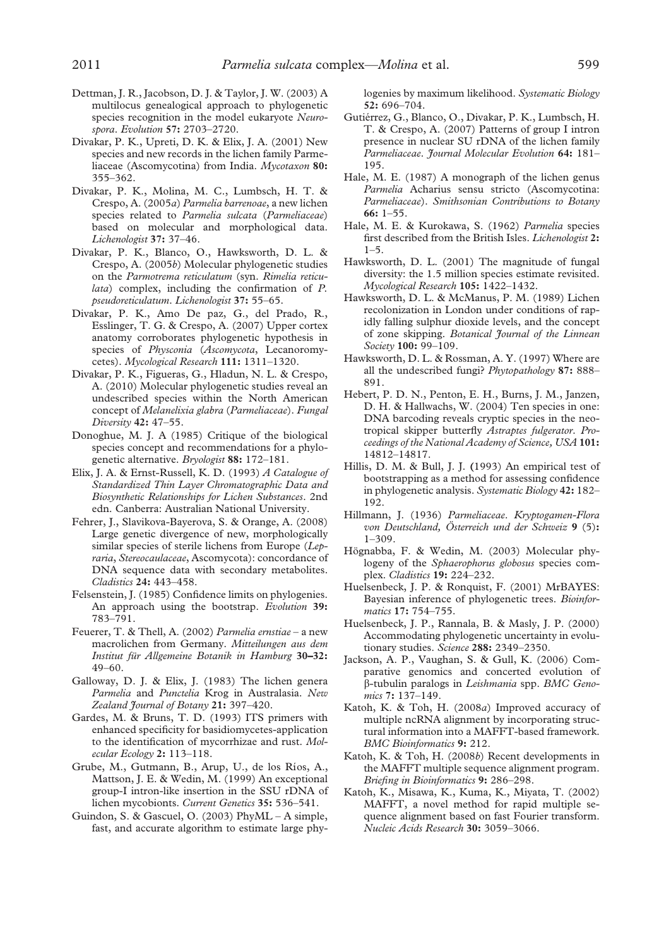- Dettman, J. R., Jacobson, D. J. & Taylor, J. W. (2003) A multilocus genealogical approach to phylogenetic species recognition in the model eukaryote *Neurospora*. *Evolution* **57:** 2703–2720.
- Divakar, P. K., Upreti, D. K. & Elix, J. A. (2001) New species and new records in the lichen family Parmeliaceae (Ascomycotina) from India. *Mycotaxon* **80:** 355–362.
- Divakar, P. K., Molina, M. C., Lumbsch, H. T. & Crespo, A. (2005*a*) *Parmelia barrenoae*, a new lichen species related to *Parmelia sulcata* (*Parmeliaceae*) based on molecular and morphological data. *Lichenologist* **37:** 37–46.
- Divakar, P. K., Blanco, O., Hawksworth, D. L. & Crespo, A. (2005*b*) Molecular phylogenetic studies on the *Parmotrema reticulatum* (syn. *Rimelia reticulata*) complex, including the confirmation of *P. pseudoreticulatum*. *Lichenologist* **37:** 55–65.
- Divakar, P. K., Amo De paz, G., del Prado, R., Esslinger, T. G. & Crespo, A. (2007) Upper cortex anatomy corroborates phylogenetic hypothesis in species of *Physconia* (*Ascomycota*, Lecanoromycetes). *Mycological Research* **111:** 1311–1320.
- Divakar, P. K., Figueras, G., Hladun, N. L. & Crespo, A. (2010) Molecular phylogenetic studies reveal an undescribed species within the North American concept of *Melanelixia glabra* (*Parmeliaceae*). *Fungal Diversity* **42:** 47–55.
- Donoghue, M. J. A (1985) Critique of the biological species concept and recommendations for a phylogenetic alternative. *Bryologist* **88:** 172–181.
- Elix, J. A. & Ernst-Russell, K. D. (1993) *A Catalogue of Standardized Thin Layer Chromatographic Data and Biosynthetic Relationships for Lichen Substances*. 2nd edn. Canberra: Australian National University.
- Fehrer, J., Slavikova-Bayerova, S. & Orange, A. (2008) Large genetic divergence of new, morphologically similar species of sterile lichens from Europe (*Lepraria*, *Stereocaulaceae*, Ascomycota): concordance of DNA sequence data with secondary metabolites. *Cladistics* **24:** 443–458.
- Felsenstein, J. (1985) Confidence limits on phylogenies. An approach using the bootstrap. *Evolution* **39:** 783–791.
- Feuerer, T. & Thell, A. (2002) *Parmelia ernstiae* a new macrolichen from Germany. *Mitteilungen aus dem Institut für Allgemeine Botanik in Hamburg* **30–32:** 49–60.
- Galloway, D. J. & Elix, J. (1983) The lichen genera *Parmelia* and *Punctelia* Krog in Australasia. *New Zealand Journal of Botany* **21:** 397–420.
- Gardes, M. & Bruns, T. D. (1993) ITS primers with enhanced specificity for basidiomycetes-application to the identification of mycorrhizae and rust. *Molecular Ecology* **2:** 113–118.
- Grube, M., Gutmann, B., Arup, U., de los Ríos, A., Mattson, J. E. & Wedin, M. (1999) An exceptional group-I intron-like insertion in the SSU rDNA of lichen mycobionts. *Current Genetics* **35:** 536–541.
- Guindon, S. & Gascuel, O. (2003) PhyML A simple, fast, and accurate algorithm to estimate large phy-

logenies by maximum likelihood. *Systematic Biology* **52:** 696–704.

- Gutiérrez, G., Blanco, O., Divakar, P. K., Lumbsch, H. T. & Crespo, A. (2007) Patterns of group I intron presence in nuclear SU rDNA of the lichen family *Parmeliaceae*. *Journal Molecular Evolution* **64:** 181– 195.
- Hale, M. E. (1987) A monograph of the lichen genus *Parmelia* Acharius sensu stricto (Ascomycotina: *Parmeliaceae*). *Smithsonian Contributions to Botany* **66:** 1–55.
- Hale, M. E. & Kurokawa, S. (1962) *Parmelia* species first described from the British Isles. *Lichenologist* **2:**  $1 - 5$ .
- Hawksworth, D. L. (2001) The magnitude of fungal diversity: the 1.5 million species estimate revisited. *Mycological Research* **105:** 1422–1432.
- Hawksworth, D. L. & McManus, P. M. (1989) Lichen recolonization in London under conditions of rapidly falling sulphur dioxide levels, and the concept of zone skipping. *Botanical Journal of the Linnean Society* **100:** 99–109.
- Hawksworth, D. L. & Rossman, A. Y. (1997) Where are all the undescribed fungi? *Phytopathology* **87:** 888– 891.
- Hebert, P. D. N., Penton, E. H., Burns, J. M., Janzen, D. H. & Hallwachs, W. (2004) Ten species in one: DNA barcoding reveals cryptic species in the neotropical skipper butterfly *Astraptes fulgerator*. *Proceedings of the National Academy of Science, USA* **101:** 14812–14817.
- Hillis, D. M. & Bull, J. J. **(**1993) An empirical test of bootstrapping as a method for assessing confidence in phylogenetic analysis. *Systematic Biology* **42:** 182– 192.
- Hillmann, J. (1936) *Parmeliaceae*. *Kryptogamen-Flora von Deutschland, Österreich und der Schweiz* **9** (5)**:** 1–309.
- Högnabba, F. & Wedin, M. (2003) Molecular phylogeny of the *Sphaerophorus globosus* species complex. *Cladistics* **19:** 224–232.
- Huelsenbeck, J. P. & Ronquist, F. (2001) MrBAYES: Bayesian inference of phylogenetic trees. *Bioinformatics* **17:** 754–755.
- Huelsenbeck, J. P., Rannala, B. & Masly, J. P. (2000) Accommodating phylogenetic uncertainty in evolutionary studies. *Science* **288:** 2349–2350.
- Jackson, A. P., Vaughan, S. & Gull, K. (2006) Comparative genomics and concerted evolution of -tubulin paralogs in *Leishmania* spp. *BMC Genomics* **7:** 137–149.
- Katoh, K. & Toh, H. (2008*a*) Improved accuracy of multiple ncRNA alignment by incorporating structural information into a MAFFT-based framework. *BMC Bioinformatics* **9:** 212.
- Katoh, K. & Toh, H. (2008*b*) Recent developments in the MAFFT multiple sequence alignment program. *Briefing in Bioinformatics* **9:** 286–298.
- Katoh, K., Misawa, K., Kuma, K., Miyata, T. (2002) MAFFT, a novel method for rapid multiple sequence alignment based on fast Fourier transform. *Nucleic Acids Research* **30:** 3059–3066.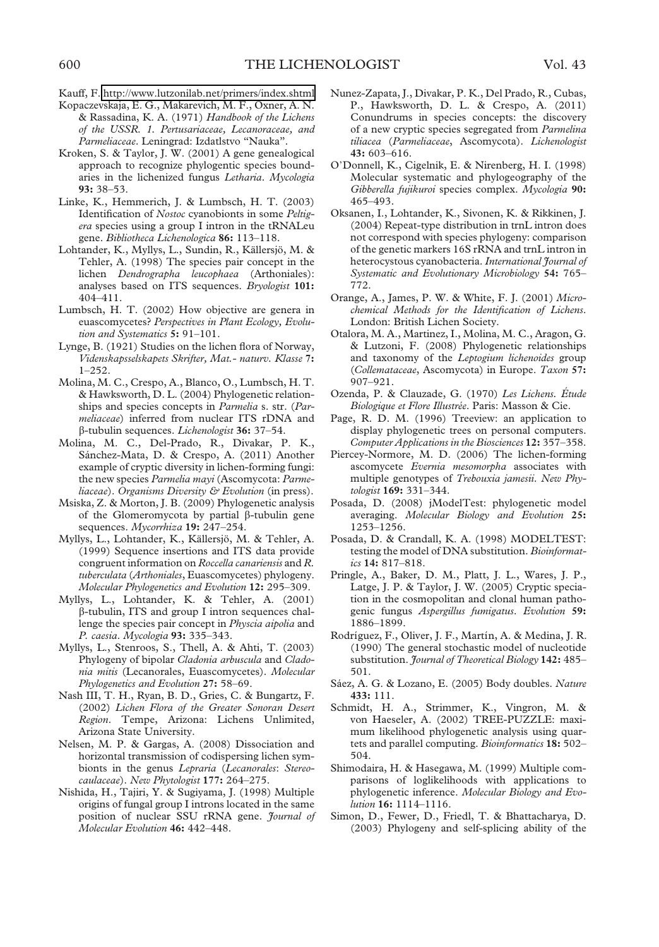- Kauff, F. <http://www.lutzonilab.net/primers/index.shtml>
- Kopaczevskaja, E. G., Makarevich, M. F., Oxner, A. N. & Rassadina, K. A. (1971) *Handbook of the Lichens of the USSR. 1. Pertusariaceae, Lecanoraceae, and Parmeliaceae*. Leningrad: Izdatlstvo "Nauka".
- Kroken, S. & Taylor, J. W. (2001) A gene genealogical approach to recognize phylogentic species boundaries in the lichenized fungus *Letharia*. *Mycologia* **93:** 38–53.
- Linke, K., Hemmerich, J. & Lumbsch, H. T. (2003) Identification of *Nostoc* cyanobionts in some *Peltigera* species using a group I intron in the tRNALeu gene. *Bibliotheca Lichenologica* **86:** 113–118.
- Lohtander, K., Myllys, L., Sundin, R., Källersjö, M. & Tehler, A. (1998) The species pair concept in the lichen *Dendrographa leucophaea* (Arthoniales): analyses based on ITS sequences. *Bryologist* **101:** 404–411.
- Lumbsch, H. T. (2002) How objective are genera in euascomycetes? *Perspectives in Plant Ecology, Evolution and Systematics* **5:** 91–101.
- Lynge, B. (1921) Studies on the lichen flora of Norway, *Videnskapsselskapets Skrifter, Mat.- naturv. Klasse* **7:** 1–252.
- Molina, M. C., Crespo, A., Blanco, O., Lumbsch, H. T. & Hawksworth, D. L. (2004) Phylogenetic relationships and species concepts in *Parmelia* s. str. (*Parmeliaceae*) inferred from nuclear ITS rDNA and -tubulin sequences. *Lichenologist* **36:** 37–54.
- Molina, M. C., Del-Prado, R., Divakar, P. K., Sánchez-Mata, D. & Crespo, A. (2011) Another example of cryptic diversity in lichen-forming fungi: the new species *Parmelia mayi* (Ascomycota: *Parmeliaceae*). *Organisms Diversity & Evolution* (in press).
- Msiska, Z. & Morton, J. B. (2009) Phylogenetic analysis of the Glomeromycota by partial  $\beta$ -tubulin gene sequences. *Mycorrhiza* **19:** 247–254.
- Myllys, L., Lohtander, K., Källersjö, M. & Tehler, A. (1999) Sequence insertions and ITS data provide congruent information on *Roccella canariensis* and *R. tuberculata* (*Arthoniales*, Euascomycetes) phylogeny. *Molecular Phylogenetics and Evolution* **12:** 295–309.
- Myllys, L., Lohtander, K. & Tehler, A. (2001) -tubulin, ITS and group I intron sequences challenge the species pair concept in *Physcia aipolia* and *P. caesia*. *Mycologia* **93:** 335–343.
- Myllys, L., Stenroos, S., Thell, A. & Ahti, T. (2003) Phylogeny of bipolar *Cladonia arbuscula* and *Cladonia mitis* (Lecanorales, Euascomycetes). *Molecular Phylogenetics and Evolution* **27:** 58–69.
- Nash III, T. H., Ryan, B. D., Gries, C. & Bungartz, F. (2002) *Lichen Flora of the Greater Sonoran Desert Region*. Tempe, Arizona: Lichens Unlimited, Arizona State University.
- Nelsen, M. P. & Gargas, A. (2008) Dissociation and horizontal transmission of codispersing lichen symbionts in the genus *Lepraria* (*Lecanorales*: *Stereocaulaceae*). *New Phytologist* **177:** 264–275.
- Nishida, H., Tajiri, Y. & Sugiyama, J. (1998) Multiple origins of fungal group I introns located in the same position of nuclear SSU rRNA gene. *Journal of Molecular Evolution* **46:** 442–448.
- Nunez-Zapata, J., Divakar, P. K., Del Prado, R., Cubas, P., Hawksworth, D. L. & Crespo, A. (2011) Conundrums in species concepts: the discovery of a new cryptic species segregated from *Parmelina tiliacea* (*Parmeliaceae*, Ascomycota). *Lichenologist* **43:** 603–616.
- O'Donnell, K., Cigelnik, E. & Nirenberg, H. I. (1998) Molecular systematic and phylogeography of the *Gibberella fujikuroi* species complex. *Mycologia* **90:** 465–493.
- Oksanen, I., Lohtander, K., Sivonen, K. & Rikkinen, J. (2004) Repeat-type distribution in trnL intron does not correspond with species phylogeny: comparison of the genetic markers 16S rRNA and trnL intron in heterocystous cyanobacteria. *International Journal of Systematic and Evolutionary Microbiology* **54:** 765– 772.
- Orange, A., James, P. W. & White, F. J. (2001) *Microchemical Methods for the Identification of Lichens*. London: British Lichen Society.
- Otalora, M. A., Martinez, I., Molina, M. C., Aragon, G. & Lutzoni, F. (2008) Phylogenetic relationships and taxonomy of the *Leptogium lichenoides* group (*Collemataceae*, Ascomycota) in Europe. *Taxon* **57:** 907–921.
- Ozenda, P. & Clauzade, G. (1970) *Les Lichens. Étude Biologique et Flore Illustrée*. Paris: Masson & Cie.
- Page, R. D. M. (1996) Treeview: an application to display phylogenetic trees on personal computers. *Computer Applications in the Biosciences* **12:** 357–358.
- Piercey-Normore, M. D. (2006) The lichen-forming ascomycete *Evernia mesomorpha* associates with multiple genotypes of *Trebouxia jamesii*. *New Phytologist* **169:** 331–344.
- Posada, D. (2008) jModelTest: phylogenetic model averaging. *Molecular Biology and Evolution* **25:** 1253–1256.
- Posada, D. & Crandall, K. A. (1998) MODELTEST: testing the model of DNA substitution. *Bioinformatics* **14:** 817–818.
- Pringle, A., Baker, D. M., Platt, J. L., Wares, J. P., Latge, J. P. & Taylor, J. W. (2005) Cryptic speciation in the cosmopolitan and clonal human pathogenic fungus *Aspergillus fumigatus*. *Evolution* **59:** 1886–1899.
- Rodríguez, F., Oliver, J. F., Martín, A. & Medina, J. R. (1990) The general stochastic model of nucleotide substitution. *Journal of Theoretical Biology* **142:** 485– 501.
- Sáez, A. G. & Lozano, E. (2005) Body doubles. *Nature* **433:** 111.
- Schmidt, H. A., Strimmer, K., Vingron, M. & von Haeseler, A. (2002) TREE-PUZZLE: maximum likelihood phylogenetic analysis using quartets and parallel computing. *Bioinformatics* **18:** 502– 504.
- Shimodaira, H. & Hasegawa, M. (1999) Multiple comparisons of loglikelihoods with applications to phylogenetic inference. *Molecular Biology and Evolution* **16:** 1114–1116.
- Simon, D., Fewer, D., Friedl, T. & Bhattacharya, D. (2003) Phylogeny and self-splicing ability of the